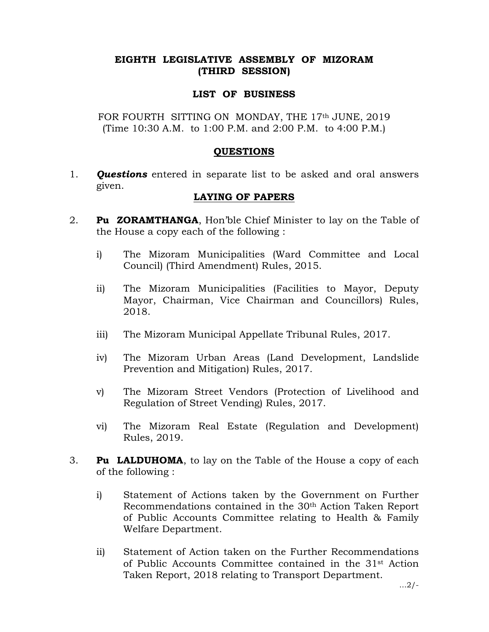## EIGHTH LEGISLATIVE ASSEMBLY OF MIZORAM (THIRD SESSION)

#### LIST OF BUSINESS

FOR FOURTH SITTING ON MONDAY, THE 17th JUNE, 2019 (Time 10:30 A.M. to 1:00 P.M. and 2:00 P.M. to 4:00 P.M.)

#### **OUESTIONS**

1. **Questions** entered in separate list to be asked and oral answers given.

### LAYING OF PAPERS

- 2. **Pu ZORAMTHANGA**, Hon'ble Chief Minister to lay on the Table of the House a copy each of the following :
	- i) The Mizoram Municipalities (Ward Committee and Local Council) (Third Amendment) Rules, 2015.
	- ii) The Mizoram Municipalities (Facilities to Mayor, Deputy Mayor, Chairman, Vice Chairman and Councillors) Rules, 2018.
	- iii) The Mizoram Municipal Appellate Tribunal Rules, 2017.
	- iv) The Mizoram Urban Areas (Land Development, Landslide Prevention and Mitigation) Rules, 2017.
	- v) The Mizoram Street Vendors (Protection of Livelihood and Regulation of Street Vending) Rules, 2017.
	- vi) The Mizoram Real Estate (Regulation and Development) Rules, 2019.
- 3. Pu LALDUHOMA, to lay on the Table of the House a copy of each of the following :
	- i) Statement of Actions taken by the Government on Further Recommendations contained in the 30th Action Taken Report of Public Accounts Committee relating to Health & Family Welfare Department.
	- ii) Statement of Action taken on the Further Recommendations of Public Accounts Committee contained in the 31st Action Taken Report, 2018 relating to Transport Department.